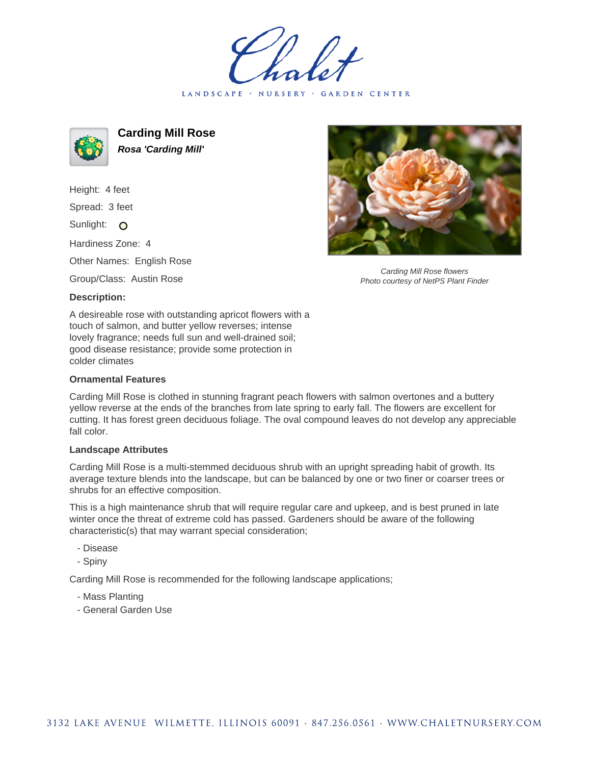LANDSCAPE · NURSERY · GARDEN CENTER



**Carding Mill Rose Rosa 'Carding Mill'**

Height: 4 feet Spread: 3 feet Sunlight: O Hardiness Zone: 4

Other Names: English Rose

Group/Class: Austin Rose

## **Description:**

A desireable rose with outstanding apricot flowers with a touch of salmon, and butter yellow reverses; intense lovely fragrance; needs full sun and well-drained soil; good disease resistance; provide some protection in colder climates

## **Ornamental Features**

Carding Mill Rose is clothed in stunning fragrant peach flowers with salmon overtones and a buttery yellow reverse at the ends of the branches from late spring to early fall. The flowers are excellent for cutting. It has forest green deciduous foliage. The oval compound leaves do not develop any appreciable fall color.

## **Landscape Attributes**

Carding Mill Rose is a multi-stemmed deciduous shrub with an upright spreading habit of growth. Its average texture blends into the landscape, but can be balanced by one or two finer or coarser trees or shrubs for an effective composition.

This is a high maintenance shrub that will require regular care and upkeep, and is best pruned in late winter once the threat of extreme cold has passed. Gardeners should be aware of the following characteristic(s) that may warrant special consideration;

- Disease
- Spiny

Carding Mill Rose is recommended for the following landscape applications;

- Mass Planting
- General Garden Use



Carding Mill Rose flowers Photo courtesy of NetPS Plant Finder